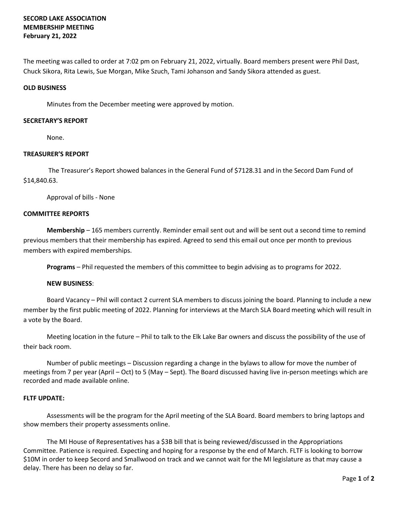# **SECORD LAKE ASSOCIATION MEMBERSHIP MEETING February 21, 2022**

The meeting was called to order at 7:02 pm on February 21, 2022, virtually. Board members present were Phil Dast, Chuck Sikora, Rita Lewis, Sue Morgan, Mike Szuch, Tami Johanson and Sandy Sikora attended as guest.

### **OLD BUSINESS**

Minutes from the December meeting were approved by motion.

### **SECRETARY'S REPORT**

None.

# **TREASURER'S REPORT**

The Treasurer's Report showed balances in the General Fund of \$7128.31 and in the Secord Dam Fund of \$14,840.63.

Approval of bills - None

### **COMMITTEE REPORTS**

**Membership** – 165 members currently. Reminder email sent out and will be sent out a second time to remind previous members that their membership has expired. Agreed to send this email out once per month to previous members with expired memberships.

**Programs** – Phil requested the members of this committee to begin advising as to programs for 2022.

# **NEW BUSINESS**:

Board Vacancy – Phil will contact 2 current SLA members to discuss joining the board. Planning to include a new member by the first public meeting of 2022. Planning for interviews at the March SLA Board meeting which will result in a vote by the Board.

Meeting location in the future – Phil to talk to the Elk Lake Bar owners and discuss the possibility of the use of their back room.

Number of public meetings – Discussion regarding a change in the bylaws to allow for move the number of meetings from 7 per year (April – Oct) to 5 (May – Sept). The Board discussed having live in-person meetings which are recorded and made available online.

# **FLTF UPDATE:**

Assessments will be the program for the April meeting of the SLA Board. Board members to bring laptops and show members their property assessments online.

The MI House of Representatives has a \$3B bill that is being reviewed/discussed in the Appropriations Committee. Patience is required. Expecting and hoping for a response by the end of March. FLTF is looking to borrow \$10M in order to keep Secord and Smallwood on track and we cannot wait for the MI legislature as that may cause a delay. There has been no delay so far.